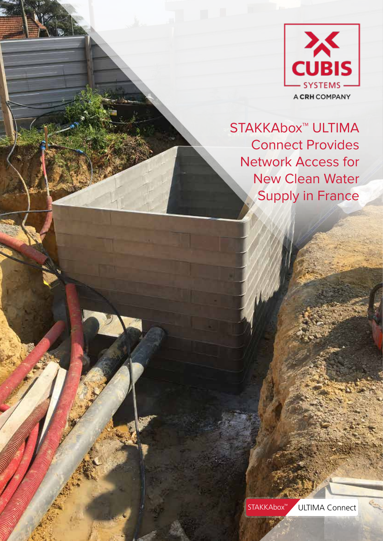

STAKKAbox<sup>™</sup> ULTIMA Connect Provides Network Access for New Clean Water Supply in France

STAKKAbox<sup>™</sup> ULTIMA Connect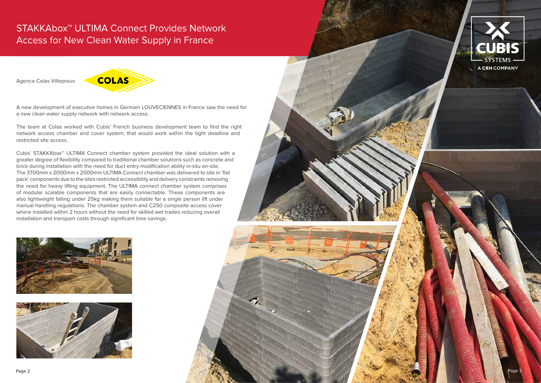Agence Colas Villepreux



A new development of executive homes in Germain LOUVECIENNES in France saw the need for a new clean water supply network with network access.

The team at Colas worked with Cubis' French business development team to find the right network access chamber and cover system, that would work within the tight deadline and restricted site access.









Cubis' STAKKAbox™ ULTIMA Connect chamber system provided the ideal solution with a greater degree of flexibility compared to traditional chamber solutions such as concrete and brick during installation with the need for duct entry modification ability in-situ on-site. The 3700mm x 2000mm x 2000mm ULTIMA Connect chamber was delivered to site in 'flat pack' components due to the sites restricted accessibility and delivery constraints removing the need for heavy lifting equipment. The ULTIMA connect chamber system comprises of modular scalable components that are easily connectable. These components are also lightweight falling under 25kg making them suitable for a single person lift under manual handling regulations. The chamber system and C250 composite access cover where installed within 2 hours without the need for skilled wet trades reducing overall installation and transport costs through significant time savings.

## STAKKAbox™ ULTIMA Connect Provides Network Access for New Clean Water Supply in France